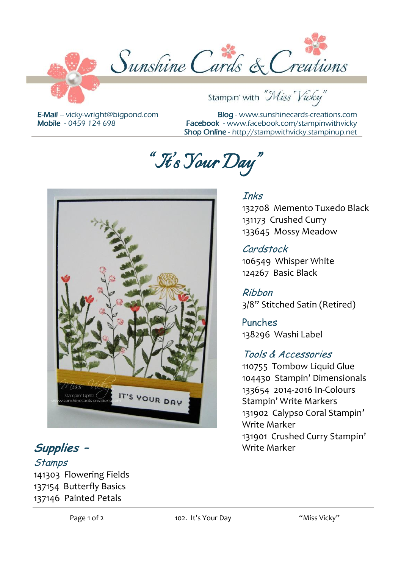

E-Mail – [vicky-wright@bigpond.com](mailto:vicky-wright@bigpond.com) Mobile - 0459 124 698

Blog - [www.sunshinecards-creations.com](http://www.stampspapernstuff.blogspot.com/) Facebook - [www.facebook.com/stampinwithvicky](http://www.facebook.com/stampinwithvicky) Shop Online - http://stampwithvicky.stampinup.net

Stampin' with "Miss Vicky"

132708 Memento Tuxedo Black

131173 Crushed Curry 133645 Mossy Meadow

106549 Whisper White 124267 Basic Black

138296 Washi Label

Tools & Accessories 110755 Tombow Liquid Glue 104430 Stampin' Dimensionals 133654 2014-2016 In-Colours Stampin' Write Markers 131902 Calypso Coral Stampin'

3/8" Stitched Satin (Retired)

131901 Crushed Curry Stampin'

Inks

Cardstock

Ribbon

Punches

Write Marker

Write Marker

*"It's Your Day "* 



**Supplies –**

**Stamps** 141303 Flowering Fields 137154 Butterfly Basics 137146 Painted Petals